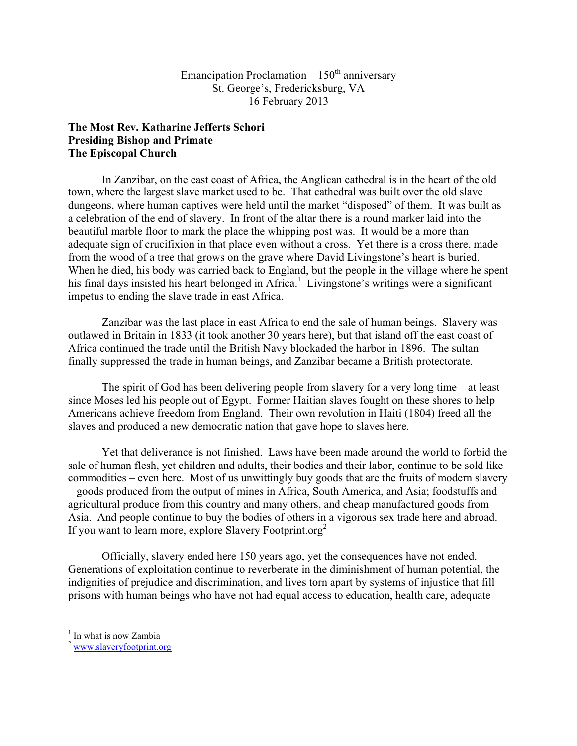## Emancipation Proclamation  $-150<sup>th</sup>$  anniversary St. George's, Fredericksburg, VA 16 February 2013

## **The Most Rev. Katharine Jefferts Schori Presiding Bishop and Primate The Episcopal Church**

In Zanzibar, on the east coast of Africa, the Anglican cathedral is in the heart of the old town, where the largest slave market used to be. That cathedral was built over the old slave dungeons, where human captives were held until the market "disposed" of them. It was built as a celebration of the end of slavery. In front of the altar there is a round marker laid into the beautiful marble floor to mark the place the whipping post was. It would be a more than adequate sign of crucifixion in that place even without a cross. Yet there is a cross there, made from the wood of a tree that grows on the grave where David Livingstone's heart is buried. When he died, his body was carried back to England, but the people in the village where he spent his final days insisted his heart belonged in Africa.<sup>1</sup> Livingstone's writings were a significant impetus to ending the slave trade in east Africa.

Zanzibar was the last place in east Africa to end the sale of human beings. Slavery was outlawed in Britain in 1833 (it took another 30 years here), but that island off the east coast of Africa continued the trade until the British Navy blockaded the harbor in 1896. The sultan finally suppressed the trade in human beings, and Zanzibar became a British protectorate.

The spirit of God has been delivering people from slavery for a very long time – at least since Moses led his people out of Egypt. Former Haitian slaves fought on these shores to help Americans achieve freedom from England. Their own revolution in Haiti (1804) freed all the slaves and produced a new democratic nation that gave hope to slaves here.

Yet that deliverance is not finished. Laws have been made around the world to forbid the sale of human flesh, yet children and adults, their bodies and their labor, continue to be sold like commodities – even here. Most of us unwittingly buy goods that are the fruits of modern slavery – goods produced from the output of mines in Africa, South America, and Asia; foodstuffs and agricultural produce from this country and many others, and cheap manufactured goods from Asia. And people continue to buy the bodies of others in a vigorous sex trade here and abroad. If you want to learn more, explore Slavery Footprint.org<sup>2</sup>

Officially, slavery ended here 150 years ago, yet the consequences have not ended. Generations of exploitation continue to reverberate in the diminishment of human potential, the indignities of prejudice and discrimination, and lives torn apart by systems of injustice that fill prisons with human beings who have not had equal access to education, health care, adequate

In what is now Zambia

 $2 \frac{\text{www.slaveryfootprint.org}}{2}$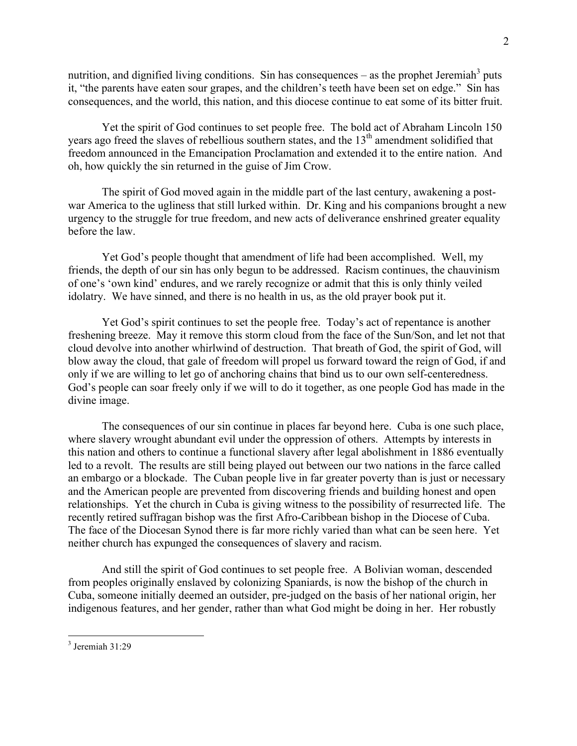nutrition, and dignified living conditions. Sin has consequences – as the prophet Jeremiah<sup>3</sup> puts it, "the parents have eaten sour grapes, and the children's teeth have been set on edge." Sin has consequences, and the world, this nation, and this diocese continue to eat some of its bitter fruit.

Yet the spirit of God continues to set people free. The bold act of Abraham Lincoln 150 years ago freed the slaves of rebellious southern states, and the 13<sup>th</sup> amendment solidified that freedom announced in the Emancipation Proclamation and extended it to the entire nation. And oh, how quickly the sin returned in the guise of Jim Crow.

The spirit of God moved again in the middle part of the last century, awakening a postwar America to the ugliness that still lurked within. Dr. King and his companions brought a new urgency to the struggle for true freedom, and new acts of deliverance enshrined greater equality before the law.

Yet God's people thought that amendment of life had been accomplished. Well, my friends, the depth of our sin has only begun to be addressed. Racism continues, the chauvinism of one's 'own kind' endures, and we rarely recognize or admit that this is only thinly veiled idolatry. We have sinned, and there is no health in us, as the old prayer book put it.

Yet God's spirit continues to set the people free. Today's act of repentance is another freshening breeze. May it remove this storm cloud from the face of the Sun/Son, and let not that cloud devolve into another whirlwind of destruction. That breath of God, the spirit of God, will blow away the cloud, that gale of freedom will propel us forward toward the reign of God, if and only if we are willing to let go of anchoring chains that bind us to our own self-centeredness. God's people can soar freely only if we will to do it together, as one people God has made in the divine image.

The consequences of our sin continue in places far beyond here. Cuba is one such place, where slavery wrought abundant evil under the oppression of others. Attempts by interests in this nation and others to continue a functional slavery after legal abolishment in 1886 eventually led to a revolt. The results are still being played out between our two nations in the farce called an embargo or a blockade. The Cuban people live in far greater poverty than is just or necessary and the American people are prevented from discovering friends and building honest and open relationships. Yet the church in Cuba is giving witness to the possibility of resurrected life. The recently retired suffragan bishop was the first Afro-Caribbean bishop in the Diocese of Cuba. The face of the Diocesan Synod there is far more richly varied than what can be seen here. Yet neither church has expunged the consequences of slavery and racism.

And still the spirit of God continues to set people free. A Bolivian woman, descended from peoples originally enslaved by colonizing Spaniards, is now the bishop of the church in Cuba, someone initially deemed an outsider, pre-judged on the basis of her national origin, her indigenous features, and her gender, rather than what God might be doing in her. Her robustly

 <sup>3</sup> Jeremiah 31:29